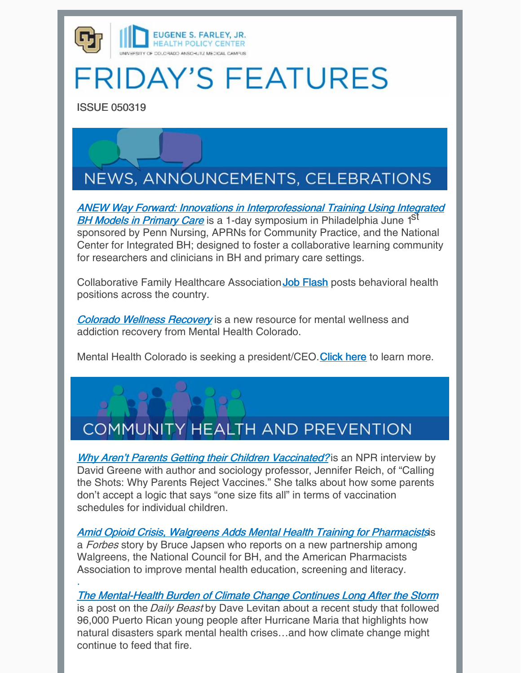

## **FRIDAY'S FEATURES**

ISSUE 050319

·



ANEW Way Forward: Innovations in [Interprofessional](https://www.anewwayforwardevent.org/) Training Using Integrated BH Models in Primary Care is a 1-day symposium in Philadelphia June 1<sup>ST</sup> sponsored by Penn Nursing, APRNs for Community Practice, and the National Center for Integrated BH; designed to foster a collaborative learning community for researchers and clinicians in BH and primary care settings.

Collaborative Family Healthcare Association Job [Flash](https://jobflash.informz.net/informzdataservice/onlineversion/ind/bWFpbGluZ2luc3RhbmNlaWQ9MjYwMjQ2OSZzdWJzY3JpYmVyaWQ9MzkzNDQxNTgx) posts behavioral health positions across the country.

Colorado Wellness [Recovery](https://alfranken.com/read/the-final-round?fbclid=IwAR09rMtPg6_5Ye3Y6X6TPKnI56Vz4h-bcJHxZ86VosJZq3SJnm6f2iJtzIw) is a new resource for mental wellness and addiction recovery from Mental Health Colorado.

Mental Health Colorado is seeking a president/CEO.[Click](https://t.co/C7X1AK2zqI) here to learn more.

## **COMMUNITY HEALTH AND PREVENTION**

Why Aren't Parents Getting their Children [Vaccinated?](https://www.npr.org/2019/04/29/718165015/why-arent-parents-getting-their-kids-vaccinated) is an NPR interview by David Greene with author and sociology professor, Jennifer Reich, of "Calling the Shots: Why Parents Reject Vaccines." She talks about how some parents don't accept a logic that says "one size fits all" in terms of vaccination schedules for individual children.

**Amid Opioid Crisis, [Walgreens](https://www.forbes.com/sites/brucejapsen/2019/05/01/amid-opioid-crisis-walgreens-adds-mental-health-training-for-pharmacists/#1e8bc0cd7b68) Adds Mental Health Training for Pharmacistsis** a Forbes story by Bruce Japsen who reports on a new partnership among Walgreens, the National Council for BH, and the American Pharmacists Association to improve mental health education, screening and literacy.

The [Mental-Health](https://www.thedailybeast.com/the-mental-health-burden-of-hurricane-maria-continues-long-after-the-storm) Burden of Climate Change Continues Long After the Storm is a post on the Daily Beast by Dave Levitan about a recent study that followed 96,000 Puerto Rican young people after Hurricane Maria that highlights how natural disasters spark mental health crises…and how climate change might continue to feed that fire.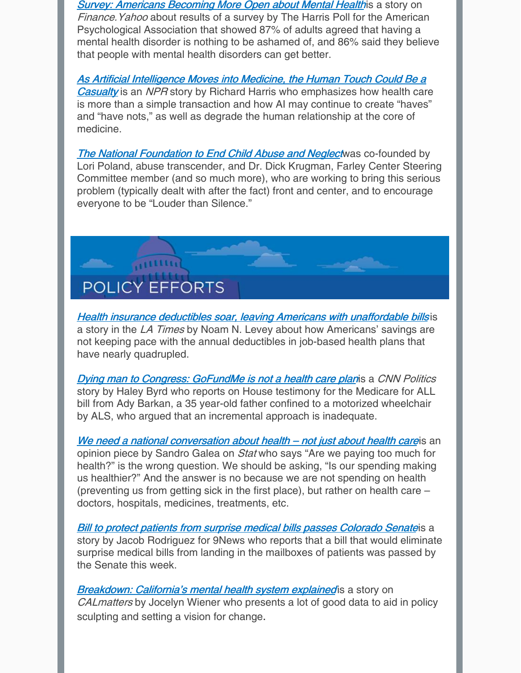**Survey: Americans [Becoming](https://finance.yahoo.com/news/survey-americans-becoming-more-open-mental-health-100000647.html) More Open about Mental Healthis a story on** Finance. Yahoo about results of a survey by The Harris Poll for the American Psychological Association that showed 87% of adults agreed that having a mental health disorder is nothing to be ashamed of, and 86% said they believe that people with mental health disorders can get better.

As Artificial Intelligence Moves into Medicine, the Human Touch Could Be a **Casualty** is an NPR story by Richard Harris who [emphasizes](https://www.npr.org/sections/health-shots/2019/04/30/718413798/as-artificial-intelligence-moves-into-medicine-the-human-touch-could-be-a-casual) how health care is more than a simple transaction and how AI may continue to create "haves" and "have nots," as well as degrade the human relationship at the core of medicine.

The National [Foundation](https://mailchi.mp/5f9812881f05/april-newsletter-louder-than-silence?e=%5bUNIQID%5d) to End Child Abuse and Neglectwas co-founded by Lori Poland, abuse transcender, and Dr. Dick Krugman, Farley Center Steering Committee member (and so much more), who are working to bring this serious problem (typically dealt with after the fact) front and center, and to encourage everyone to be "Louder than Silence."



**Health insurance deductibles soar, leaving Americans with [unaffordable](https://www.latimes.com/politics/la-na-pol-health-insurance-medical-bills-20190502-story.html) bills is** a story in the LA Times by Noam N. Levey about how Americans' savings are not keeping pace with the annual deductibles in job-based health plans that have nearly quadrupled.

**Dying man to [Congress:](https://www.cnn.com/2019/04/30/politics/medicare-for-all-house-democrats/index.html) GoFundMe is not a health care planis a CNN Politics** story by Haley Byrd who reports on House testimony for the Medicare for ALL bill from Ady Barkan, a 35 year-old father confined to a motorized wheelchair by ALS, who argued that an incremental approach is inadequate.

We need a national [conversation](https://www.npr.org/sections/health-shots/2019/04/30/718413798/as-artificial-intelligence-moves-into-medicine-the-human-touch-could-be-a-casual) about health – not just about health careis an opinion piece by Sandro Galea on *Stat* who says "Are we paying too much for health?" is the wrong question. We should be asking, "Is our spending making us healthier?" And the answer is no because we are not spending on health (preventing us from getting sick in the first place), but rather on health care – doctors, hospitals, medicines, treatments, etc.

**Bill to protect patients from surprise medical bills passes [Colorado](https://www.9news.com/article/news/bill-to-protect-patients-from-surprise-medical-bills-passes-colorado-senate/73-f557ca9b-df21-43dd-acc9-94a20c7852b4) Senateis a** story by Jacob Rodriguez for 9News who reports that a bill that would eliminate surprise medical bills from landing in the mailboxes of patients was passed by the Senate this week.

**[Breakdown:](https://calmatters.org/articles/breakdown-californias-mental-health-system-explained/) California's mental health system explained** is a story on CAL matters by Jocelyn Wiener who presents a lot of good data to aid in policy sculpting and setting a vision for change.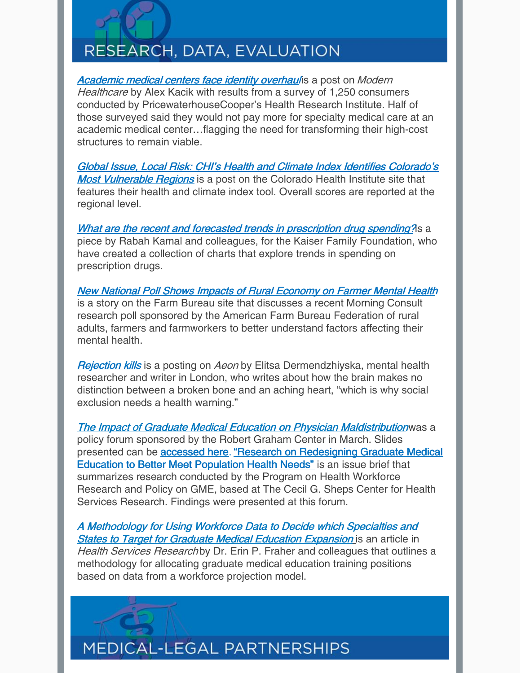## RESEARCH, DATA, EVALUATION

[Academic](https://www.modernhealthcare.com/operations/academic-medical-centers-face-identity-overhaul?utm_source=CUAT-Wed-May-1-2019&utm_medium=email&utm_campaign=CUAnschutzToday&utm_content=Academic-medical-centers-face-identity-overhaul) medical centers face identity overhaulis a post on Modern Healthcare by Alex Kacik with results from a survey of 1,250 consumers conducted by PricewaterhouseCooper's Health Research Institute. Half of those surveyed said they would not pay more for specialty medical care at an academic medical center…flagging the need for transforming their high-cost structures to remain viable.

Global Issue, Local Risk: CHI's Health and Climate Index Identifies Colorado's **Most Vulnerable Regions** is a post on the [Colorado](https://www.coloradohealthinstitute.org/research/global-issue-local-risk?utm_source=Master&utm_campaign=b3993fa3ef-EMAIL_CAMPAIGN_2019_04_30_09_59&utm_medium=email&utm_term=0_4c1f5e929a-b3993fa3ef-146463313) Health Institute site that features their health and climate index tool. Overall scores are reported at the regional level.

What are the recent and forecasted trends in [prescription](https://www.healthsystemtracker.org/chart-collection/recent-forecasted-trends-prescription-drug-spending/#item-start) drug spending? As a piece by Rabah Kamal and colleagues, for the Kaiser Family Foundation, who have created a collection of charts that explore trends in spending on prescription drugs.

New National Poll Shows Impacts of Rural [Economy](https://www.fb.org/newsroom/new-national-poll-shows-impacts-of-rural-economy-on-farmer-mental-health) on Farmer Mental Health is a story on the Farm Bureau site that discusses a recent Morning Consult research poll sponsored by the American Farm Bureau Federation of rural adults, farmers and farmworkers to better understand factors affecting their mental health.

**[Rejection](https://aeon.co/essays/health-warning-social-rejection-doesnt-only-hurt-it-kills) kills** is a posting on Aeon by Elitsa Dermendzhiyska, mental health researcher and writer in London, who writes about how the brain makes no distinction between a broken bone and an aching heart, "which is why social exclusion needs a health warning."

The Impact of Graduate Medical Education on Physician [Maldistribution](https://www.graham-center.org/rgc/press-events/events/forums/impact-gme-physician-maldistribution.html)was a policy forum sponsored by the Robert Graham Center in March. Slides presented can be **[accessed](https://www.graham-center.org/content/dam/rgc/documents/press-events/primary-care-forum/ImpactGraduateMedEdPhysicianMaldistributio-032019.pdf) here.** "Research on [Redesigning](https://www.graham-center.org/rgc/press-events/events/forums/impact-gme-physician-maldistribution.html) Graduate Medical Education to Better Meet Population Health Needs" is an issue brief that summarizes research conducted by the Program on Health Workforce Research and Policy on GME, based at The Cecil G. Sheps Center for Health Services Research. Findings were presented at this forum.

A [Methodology](https://www.ncbi.nlm.nih.gov/pmc/articles/PMC5269545/) for Using Workforce Data to Decide which Specialties and **States to Target for Graduate Medical Educatio[n](https://www.ncbi.nlm.nih.gov/pmc/articles/PMC5269545/) Expansion is an article in** Health Services Research by Dr. Erin P. Fraher and colleagues that outlines a methodology for allocating graduate medical education training positions based on data from a workforce projection model.